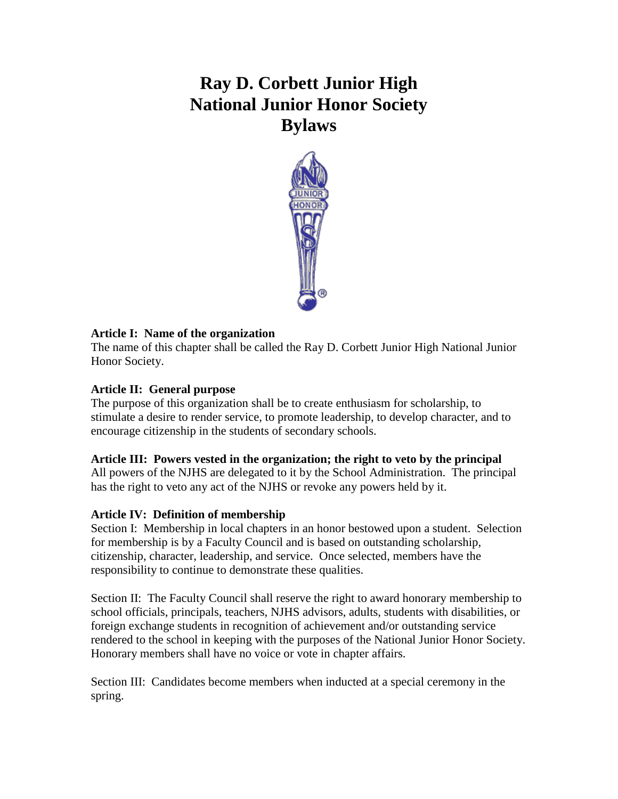# **Ray D. Corbett Junior High National Junior Honor Society Bylaws**



# **Article I: Name of the organization**

The name of this chapter shall be called the Ray D. Corbett Junior High National Junior Honor Society.

# **Article II: General purpose**

The purpose of this organization shall be to create enthusiasm for scholarship, to stimulate a desire to render service, to promote leadership, to develop character, and to encourage citizenship in the students of secondary schools.

#### **Article III: Powers vested in the organization; the right to veto by the principal**

All powers of the NJHS are delegated to it by the School Administration. The principal has the right to veto any act of the NJHS or revoke any powers held by it.

# **Article IV: Definition of membership**

Section I: Membership in local chapters in an honor bestowed upon a student. Selection for membership is by a Faculty Council and is based on outstanding scholarship, citizenship, character, leadership, and service. Once selected, members have the responsibility to continue to demonstrate these qualities.

Section II: The Faculty Council shall reserve the right to award honorary membership to school officials, principals, teachers, NJHS advisors, adults, students with disabilities, or foreign exchange students in recognition of achievement and/or outstanding service rendered to the school in keeping with the purposes of the National Junior Honor Society. Honorary members shall have no voice or vote in chapter affairs.

Section III: Candidates become members when inducted at a special ceremony in the spring.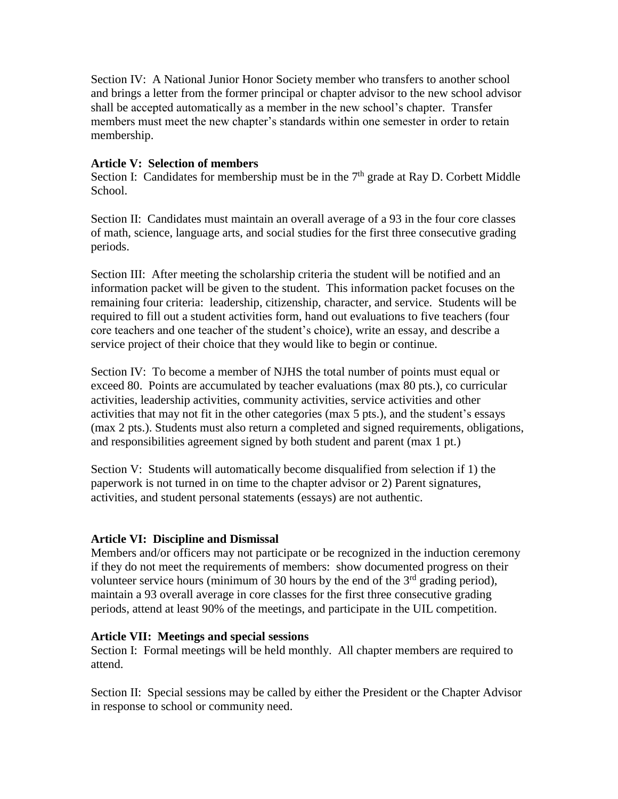Section IV: A National Junior Honor Society member who transfers to another school and brings a letter from the former principal or chapter advisor to the new school advisor shall be accepted automatically as a member in the new school's chapter. Transfer members must meet the new chapter's standards within one semester in order to retain membership.

# **Article V: Selection of members**

Section I: Candidates for membership must be in the  $7<sup>th</sup>$  grade at Ray D. Corbett Middle School.

Section II: Candidates must maintain an overall average of a 93 in the four core classes of math, science, language arts, and social studies for the first three consecutive grading periods.

Section III: After meeting the scholarship criteria the student will be notified and an information packet will be given to the student. This information packet focuses on the remaining four criteria: leadership, citizenship, character, and service. Students will be required to fill out a student activities form, hand out evaluations to five teachers (four core teachers and one teacher of the student's choice), write an essay, and describe a service project of their choice that they would like to begin or continue.

Section IV: To become a member of NJHS the total number of points must equal or exceed 80. Points are accumulated by teacher evaluations (max 80 pts.), co curricular activities, leadership activities, community activities, service activities and other activities that may not fit in the other categories (max 5 pts.), and the student's essays (max 2 pts.). Students must also return a completed and signed requirements, obligations, and responsibilities agreement signed by both student and parent (max 1 pt.)

Section V: Students will automatically become disqualified from selection if 1) the paperwork is not turned in on time to the chapter advisor or 2) Parent signatures, activities, and student personal statements (essays) are not authentic.

# **Article VI: Discipline and Dismissal**

Members and/or officers may not participate or be recognized in the induction ceremony if they do not meet the requirements of members: show documented progress on their volunteer service hours (minimum of 30 hours by the end of the  $3<sup>rd</sup>$  grading period), maintain a 93 overall average in core classes for the first three consecutive grading periods, attend at least 90% of the meetings, and participate in the UIL competition.

#### **Article VII: Meetings and special sessions**

Section I: Formal meetings will be held monthly. All chapter members are required to attend.

Section II: Special sessions may be called by either the President or the Chapter Advisor in response to school or community need.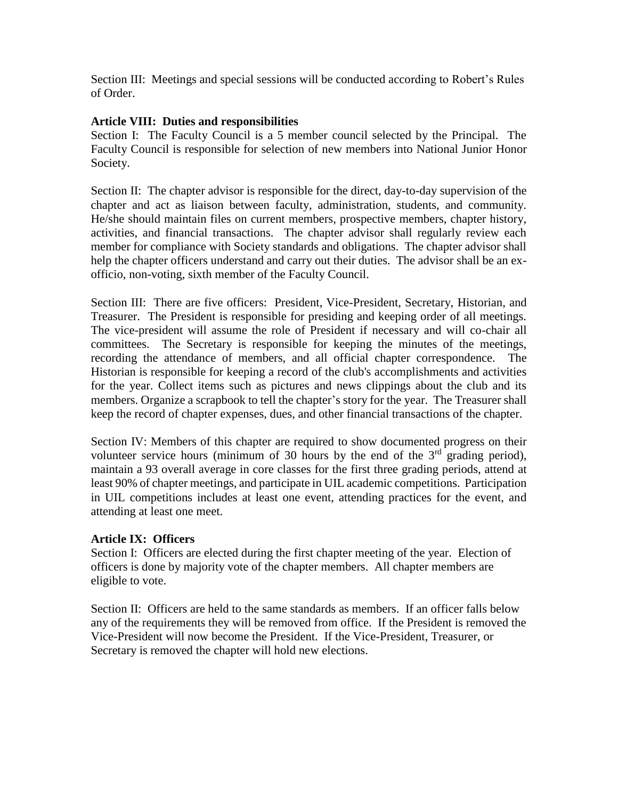Section III: Meetings and special sessions will be conducted according to Robert's Rules of Order.

# **Article VIII: Duties and responsibilities**

Section I: The Faculty Council is a 5 member council selected by the Principal. The Faculty Council is responsible for selection of new members into National Junior Honor Society.

Section II: The chapter advisor is responsible for the direct, day-to-day supervision of the chapter and act as liaison between faculty, administration, students, and community. He/she should maintain files on current members, prospective members, chapter history, activities, and financial transactions. The chapter advisor shall regularly review each member for compliance with Society standards and obligations. The chapter advisor shall help the chapter officers understand and carry out their duties. The advisor shall be an exofficio, non-voting, sixth member of the Faculty Council.

Section III: There are five officers: President, Vice-President, Secretary, Historian, and Treasurer. The President is responsible for presiding and keeping order of all meetings. The vice-president will assume the role of President if necessary and will co-chair all committees. The Secretary is responsible for keeping the minutes of the meetings, recording the attendance of members, and all official chapter correspondence. The Historian is responsible for keeping a record of the club's accomplishments and activities for the year. Collect items such as pictures and news clippings about the club and its members. Organize a scrapbook to tell the chapter's story for the year. The Treasurer shall keep the record of chapter expenses, dues, and other financial transactions of the chapter.

Section IV: Members of this chapter are required to show documented progress on their volunteer service hours (minimum of 30 hours by the end of the  $3<sup>rd</sup>$  grading period), maintain a 93 overall average in core classes for the first three grading periods, attend at least 90% of chapter meetings, and participate in UIL academic competitions. Participation in UIL competitions includes at least one event, attending practices for the event, and attending at least one meet.

#### **Article IX: Officers**

Section I: Officers are elected during the first chapter meeting of the year. Election of officers is done by majority vote of the chapter members. All chapter members are eligible to vote.

Section II: Officers are held to the same standards as members. If an officer falls below any of the requirements they will be removed from office. If the President is removed the Vice-President will now become the President. If the Vice-President, Treasurer, or Secretary is removed the chapter will hold new elections.